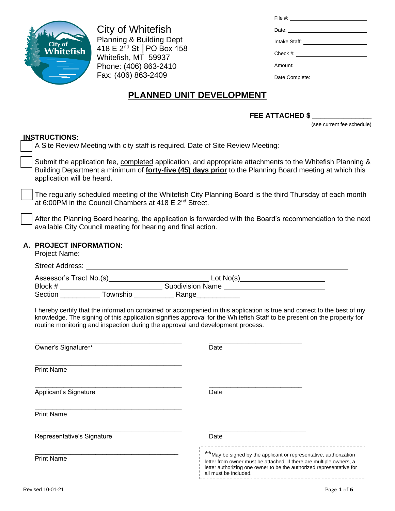

City of Whitefish Planning & Building Dept 418 E 2nd St │PO Box 158 Whitefish, MT 59937 Phone: (406) 863-2410 Fax: (406) 863-2409

| Date: <u>Date:</u> |
|--------------------|
|                    |
|                    |
|                    |
|                    |

# **PLANNED UNIT DEVELOPMENT**

### **FEE ATTACHED \$ \_\_\_\_\_\_\_\_\_\_\_\_\_\_\_**

(see current fee schedule)

## **INSTRUCTIONS:**

|                         | טווערו טעם ופווו.<br>A Site Review Meeting with city staff is required. Date of Site Review Meeting: ____________________                                                                                                                           |                                                                                                                                                                                                                                                     |  |  |  |
|-------------------------|-----------------------------------------------------------------------------------------------------------------------------------------------------------------------------------------------------------------------------------------------------|-----------------------------------------------------------------------------------------------------------------------------------------------------------------------------------------------------------------------------------------------------|--|--|--|
|                         | Submit the application fee, completed application, and appropriate attachments to the Whitefish Planning &<br>Building Department a minimum of forty-five (45) days prior to the Planning Board meeting at which this<br>application will be heard. |                                                                                                                                                                                                                                                     |  |  |  |
|                         | at 6:00PM in the Council Chambers at 418 E 2 <sup>nd</sup> Street.                                                                                                                                                                                  | The regularly scheduled meeting of the Whitefish City Planning Board is the third Thursday of each month                                                                                                                                            |  |  |  |
|                         | After the Planning Board hearing, the application is forwarded with the Board's recommendation to the next<br>available City Council meeting for hearing and final action.                                                                          |                                                                                                                                                                                                                                                     |  |  |  |
| A. PROJECT INFORMATION: |                                                                                                                                                                                                                                                     |                                                                                                                                                                                                                                                     |  |  |  |
|                         |                                                                                                                                                                                                                                                     | Street Address: No. 2016. The Street Address: No. 2016. The Street Address: No. 2016. The Street Address: No. 2016. The Street Address: No. 2016. The Street Address: No. 2016. The Street Address: No. 2016. The Street Addre                      |  |  |  |
|                         |                                                                                                                                                                                                                                                     |                                                                                                                                                                                                                                                     |  |  |  |
|                         |                                                                                                                                                                                                                                                     |                                                                                                                                                                                                                                                     |  |  |  |
|                         |                                                                                                                                                                                                                                                     |                                                                                                                                                                                                                                                     |  |  |  |
|                         | routine monitoring and inspection during the approval and development process.                                                                                                                                                                      | I hereby certify that the information contained or accompanied in this application is true and correct to the best of my<br>knowledge. The signing of this application signifies approval for the Whitefish Staff to be present on the property for |  |  |  |
|                         | Owner's Signature**                                                                                                                                                                                                                                 | Date                                                                                                                                                                                                                                                |  |  |  |
|                         | <b>Print Name</b>                                                                                                                                                                                                                                   |                                                                                                                                                                                                                                                     |  |  |  |
|                         | Applicant's Signature                                                                                                                                                                                                                               | Date                                                                                                                                                                                                                                                |  |  |  |
|                         | <b>Print Name</b>                                                                                                                                                                                                                                   |                                                                                                                                                                                                                                                     |  |  |  |
|                         | Representative's Signature                                                                                                                                                                                                                          | Date                                                                                                                                                                                                                                                |  |  |  |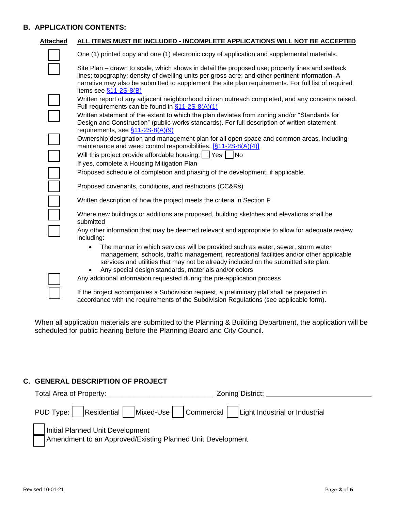#### **B. APPLICATION CONTENTS:**

| <b>Attached</b> | ALL ITEMS MUST BE INCLUDED - INCOMPLETE APPLICATIONS WILL NOT BE ACCEPTED                                                                                                                                                                                                                                                                |
|-----------------|------------------------------------------------------------------------------------------------------------------------------------------------------------------------------------------------------------------------------------------------------------------------------------------------------------------------------------------|
|                 | One (1) printed copy and one (1) electronic copy of application and supplemental materials.                                                                                                                                                                                                                                              |
|                 | Site Plan – drawn to scale, which shows in detail the proposed use; property lines and setback<br>lines; topography; density of dwelling units per gross acre; and other pertinent information. A<br>narrative may also be submitted to supplement the site plan requirements. For full list of required<br>items see $§11-2S-8(B)$      |
|                 | Written report of any adjacent neighborhood citizen outreach completed, and any concerns raised.<br>Full requirements can be found in \$11-2S-8(A)(1)                                                                                                                                                                                    |
|                 | Written statement of the extent to which the plan deviates from zoning and/or "Standards for<br>Design and Construction" (public works standards). For full description of written statement<br>requirements, see §11-2S-8(A)(9)                                                                                                         |
|                 | Ownership designation and management plan for all open space and common areas, including<br>maintenance and weed control responsibilities. [§11-2S-8(A)(4)]                                                                                                                                                                              |
|                 | Will this project provide affordable housing: Ves   No                                                                                                                                                                                                                                                                                   |
|                 | If yes, complete a Housing Mitigation Plan                                                                                                                                                                                                                                                                                               |
|                 | Proposed schedule of completion and phasing of the development, if applicable.                                                                                                                                                                                                                                                           |
|                 | Proposed covenants, conditions, and restrictions (CC&Rs)                                                                                                                                                                                                                                                                                 |
|                 | Written description of how the project meets the criteria in Section F                                                                                                                                                                                                                                                                   |
|                 | Where new buildings or additions are proposed, building sketches and elevations shall be<br>submitted                                                                                                                                                                                                                                    |
|                 | Any other information that may be deemed relevant and appropriate to allow for adequate review<br>including:                                                                                                                                                                                                                             |
|                 | The manner in which services will be provided such as water, sewer, storm water<br>$\bullet$<br>management, schools, traffic management, recreational facilities and/or other applicable<br>services and utilities that may not be already included on the submitted site plan.<br>Any special design standards, materials and/or colors |
|                 | Any additional information requested during the pre-application process                                                                                                                                                                                                                                                                  |
|                 | If the project accompanies a Subdivision request, a preliminary plat shall be prepared in                                                                                                                                                                                                                                                |

When all application materials are submitted to the Planning & Building Department, the application will be

scheduled for public hearing before the Planning Board and City Council.

accordance with the requirements of the Subdivision Regulations (see applicable form).

# **C. GENERAL DESCRIPTION OF PROJECT**

| Total Area of Property: The Contract of Area of Property:                                      | Zoning District: |
|------------------------------------------------------------------------------------------------|------------------|
| PUD Type:   Residential   Mixed-Use   Commercial   Light Industrial or Industrial              |                  |
| Initial Planned Unit Development<br>Amendment to an Approved/Existing Planned Unit Development |                  |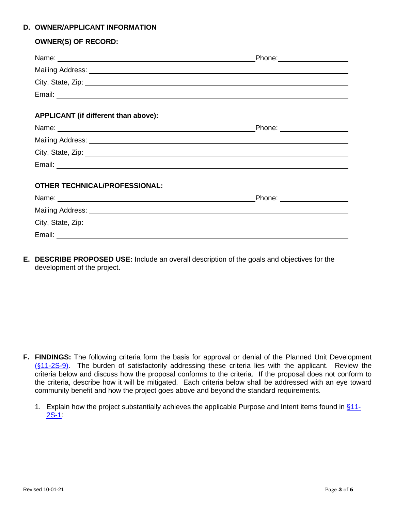### **D. OWNER/APPLICANT INFORMATION**

### **OWNER(S) OF RECORD:**

|                                                                                                                                                                                                                               | Phone: ______________________ |
|-------------------------------------------------------------------------------------------------------------------------------------------------------------------------------------------------------------------------------|-------------------------------|
|                                                                                                                                                                                                                               |                               |
| City, State, Zip: 2008. Experience of the State of Table 2014. The State of Table 2014. The State of Table 201                                                                                                                |                               |
|                                                                                                                                                                                                                               |                               |
| APPLICANT (if different than above):                                                                                                                                                                                          |                               |
| Name: Name: Name: Name: Name: Name: Name: Name: Name: Name: Name: Name: Name: Name: Name: Name: Name: Name: Name: Name: Name: Name: Name: Name: Name: Name: Name: Name: Name: Name: Name: Name: Name: Name: Name: Name: Name: | Phone: __________________     |
|                                                                                                                                                                                                                               |                               |
| City, State, Zip: 2008. Experience of the State of Table 2008. The State of Table 2008. The State of Table 200                                                                                                                |                               |
|                                                                                                                                                                                                                               |                               |
| <b>OTHER TECHNICAL/PROFESSIONAL:</b>                                                                                                                                                                                          |                               |
| Name: Name:                                                                                                                                                                                                                   | _Phone: ___________________   |
|                                                                                                                                                                                                                               |                               |
| City, State, Zip: 2008. Experience of the State of Table 2008. The State of Table 2008. The State of Table 200                                                                                                                |                               |
|                                                                                                                                                                                                                               |                               |

**E. DESCRIBE PROPOSED USE:** Include an overall description of the goals and objectives for the development of the project.

- **F. FINDINGS:** The following criteria form the basis for approval or denial of the Planned Unit Development (§[11-2S-9\).](http://www.sterlingcodifiers.com/codebook/index.php?book_id=623&chapter_id=95748#s1251822) The burden of satisfactorily addressing these criteria lies with the applicant. Review the criteria below and discuss how the proposal conforms to the criteria. If the proposal does not conform to the criteria, describe how it will be mitigated. Each criteria below shall be addressed with an eye toward community benefit and how the project goes above and beyond the standard requirements.
	- 1. Explain how the project substantially achieves the applicable Purpose and Intent items found in  $§11-$ [2S-1:](http://www.sterlingcodifiers.com/codebook/index.php?book_id=623&chapter_id=95748#s1251814)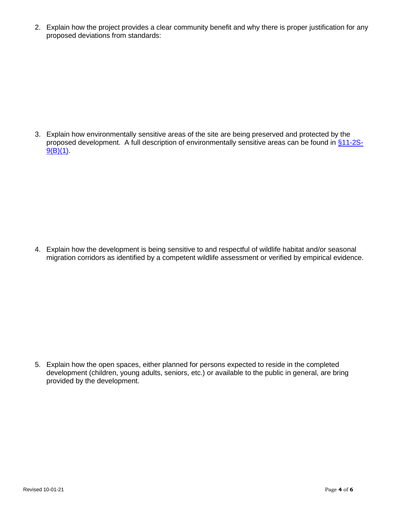2. Explain how the project provides a clear community benefit and why there is proper justification for any proposed deviations from standards:

3. Explain how environmentally sensitive areas of the site are being preserved and protected by the proposed development. A full description of environmentally sensitive areas can be found in [§11-2S-](http://www.sterlingcodifiers.com/codebook/index.php?book_id=623&chapter_id=95748#s1251822) $9(B)(1)$ .

4. Explain how the development is being sensitive to and respectful of wildlife habitat and/or seasonal migration corridors as identified by a competent wildlife assessment or verified by empirical evidence.

5. Explain how the open spaces, either planned for persons expected to reside in the completed development (children, young adults, seniors, etc.) or available to the public in general, are bring provided by the development.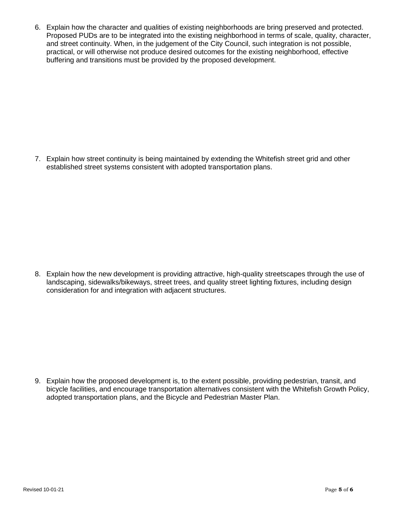6. Explain how the character and qualities of existing neighborhoods are bring preserved and protected. Proposed PUDs are to be integrated into the existing neighborhood in terms of scale, quality, character, and street continuity. When, in the judgement of the City Council, such integration is not possible, practical, or will otherwise not produce desired outcomes for the existing neighborhood, effective buffering and transitions must be provided by the proposed development.

7. Explain how street continuity is being maintained by extending the Whitefish street grid and other established street systems consistent with adopted transportation plans.

8. Explain how the new development is providing attractive, high-quality streetscapes through the use of landscaping, sidewalks/bikeways, street trees, and quality street lighting fixtures, including design consideration for and integration with adjacent structures.

9. Explain how the proposed development is, to the extent possible, providing pedestrian, transit, and bicycle facilities, and encourage transportation alternatives consistent with the Whitefish Growth Policy, adopted transportation plans, and the Bicycle and Pedestrian Master Plan.